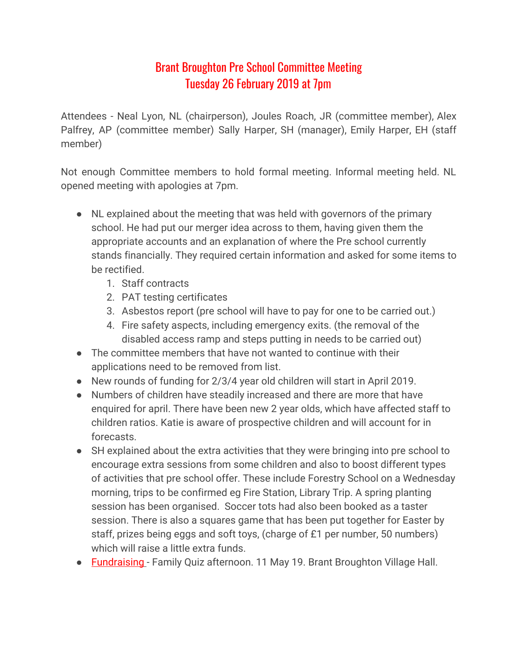## Brant Broughton Pre School Committee Meeting Tuesday 26 February 2019 at 7pm

Attendees - Neal Lyon, NL (chairperson), Joules Roach, JR (committee member), Alex Palfrey, AP (committee member) Sally Harper, SH (manager), Emily Harper, EH (staff member)

Not enough Committee members to hold formal meeting. Informal meeting held. NL opened meeting with apologies at 7pm.

- NL explained about the meeting that was held with governors of the primary school. He had put our merger idea across to them, having given them the appropriate accounts and an explanation of where the Pre school currently stands financially. They required certain information and asked for some items to be rectified.
	- 1. Staff contracts
	- 2. PAT testing certificates
	- 3. Asbestos report (pre school will have to pay for one to be carried out.)
	- 4. Fire safety aspects, including emergency exits. (the removal of the disabled access ramp and steps putting in needs to be carried out)
- The committee members that have not wanted to continue with their applications need to be removed from list.
- New rounds of funding for 2/3/4 year old children will start in April 2019.
- Numbers of children have steadily increased and there are more that have enquired for april. There have been new 2 year olds, which have affected staff to children ratios. Katie is aware of prospective children and will account for in forecasts.
- SH explained about the extra activities that they were bringing into pre school to encourage extra sessions from some children and also to boost different types of activities that pre school offer. These include Forestry School on a Wednesday morning, trips to be confirmed eg Fire Station, Library Trip. A spring planting session has been organised. Soccer tots had also been booked as a taster session. There is also a squares game that has been put together for Easter by staff, prizes being eggs and soft toys, (charge of £1 per number, 50 numbers) which will raise a little extra funds.
- Fundraising Family Quiz afternoon. 11 May 19. Brant Broughton Village Hall.